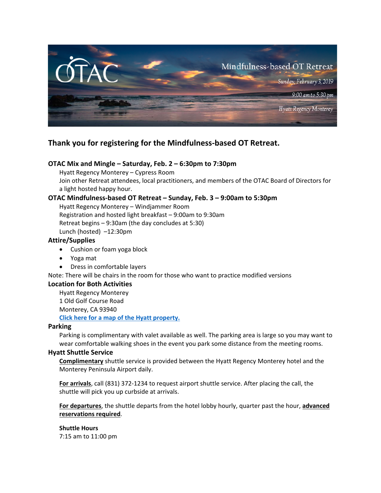

# **Thank you for registering for the Mindfulness‐based OT Retreat.**

## **OTAC Mix and Mingle – Saturday, Feb. 2 – 6:30pm to 7:30pm**

Hyatt Regency Monterey – Cypress Room Join other Retreat attendees, local practitioners, and members of the OTAC Board of Directors for a light hosted happy hour.

## **OTAC Mindfulness‐based OT Retreat – Sunday, Feb. 3 – 9:00am to 5:30pm**

Hyatt Regency Monterey – Windjammer Room

Registration and hosted light breakfast – 9:00am to 9:30am

Retreat begins – 9:30am (the day concludes at 5:30)

Lunch (hosted) –12:30pm

#### **Attire/Supplies**

- Cushion or foam yoga block
- Yoga mat
- Dress in comfortable layers

Note: There will be chairs in the room for those who want to practice modified versions

#### **Location for Both Activities**

Hyatt Regency Monterey 1 Old Golf Course Road Monterey, CA 93940 **Click here for a map of the Hyatt property.**

#### **Parking**

Parking is complimentary with valet available as well. The parking area is large so you may want to wear comfortable walking shoes in the event you park some distance from the meeting rooms.

#### **Hyatt Shuttle Service**

**Complimentary** shuttle service is provided between the Hyatt Regency Monterey hotel and the Monterey Peninsula Airport daily.

**For arrivals**, call (831) 372‐1234 to request airport shuttle service. After placing the call, the shuttle will pick you up curbside at arrivals.

**For departures**, the shuttle departs from the hotel lobby hourly, quarter past the hour, **advanced reservations required**.

**Shuttle Hours** 7:15 am to 11:00 pm